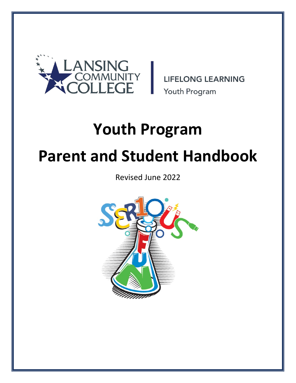

**LIFELONG LEARNING** Youth Program

# **Youth Program Parent and Student Handbook**

Revised June 2022

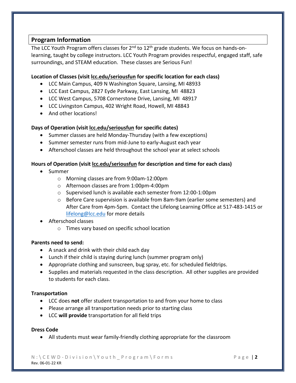#### **Program Information**

The LCC Youth Program offers classes for  $2^{nd}$  to  $12^{th}$  grade students. We focus on hands-onlearning, taught by college instructors. LCC Youth Program provides respectful, engaged staff, safe surroundings, and STEAM education. These classes are Serious Fun!

#### **Location of Classes (visit lcc.edu/seriousfun for specific location for each class)**

- LCC Main Campus, 409 N Washington Square, Lansing, MI 48933
- LCC East Campus, 2827 Eyde Parkway, East Lansing, MI 48823
- LCC West Campus, 5708 Cornerstone Drive, Lansing, MI 48917
- LCC Livingston Campus, 402 Wright Road, Howell, MI 48843
- And other locations!

#### **Days of Operation (visit lcc.edu/seriousfun for specific dates)**

- Summer classes are held Monday-Thursday (with a few exceptions)
- Summer semester runs from mid-June to early-August each year
- Afterschool classes are held throughout the school year at select schools

#### **Hours of Operation (visit lcc.edu/seriousfun for description and time for each class)**

- Summer
	- o Morning classes are from 9:00am-12:00pm
	- o Afternoon classes are from 1:00pm-4:00pm
	- o Supervised lunch is available each semester from 12:00-1:00pm
	- o Before Care supervision is available from 8am-9am (earlier some semesters) and After Care from 4pm-5pm. Contact the Lifelong Learning Office at 517-483-1415 or [lifelong@lcc.edu](mailto:lifelong@lcc.edu) for more details
- Afterschool classes
	- o Times vary based on specific school location

#### **Parents need to send:**

- A snack and drink with their child each day
- Lunch if their child is staying during lunch (summer program only)
- Appropriate clothing and sunscreen, bug spray, etc. for scheduled fieldtrips.
- Supplies and materials requested in the class description. All other supplies are provided to students for each class.

#### **Transportation**

- LCC does **not** offer student transportation to and from your home to class
- Please arrange all transportation needs prior to starting class
- LCC **will provide** transportation for all field trips

#### **Dress Code**

• All students must wear family-friendly clothing appropriate for the classroom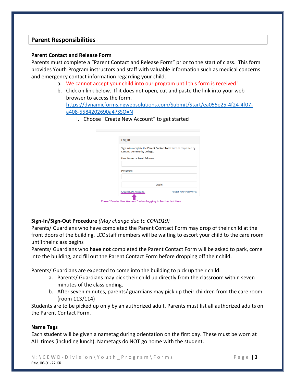#### **Parent Responsibilities**

#### **Parent Contact and Release Form**

Parents must complete a "Parent Contact and Release Form" prior to the start of class. This form provides Youth Program instructors and staff with valuable information such as medical concerns and emergency contact information regarding your child.

- a. We cannot accept your child into our program until this form is received!
- b. Click on link below. If it does not open, cut and paste the link into your web browser to access the form. [https://dynamicforms.ngwebsolutions.com/Submit/Start/ea055e25-4f24-4f07](https://dynamicforms.ngwebsolutions.com/Submit/Start/ea055e25-4f24-4f07-a408-5584202690a4?SSO=N) [a408-5584202690a4?SSO=N](https://dynamicforms.ngwebsolutions.com/Submit/Start/ea055e25-4f24-4f07-a408-5584202690a4?SSO=N) 
	- i. Choose "Create New Account" to get started

| Log In                                                                                      |                                                                  |
|---------------------------------------------------------------------------------------------|------------------------------------------------------------------|
| <b>Lansing Community College.</b>                                                           | Sign in to complete the Parent Contact Form form as requested by |
| <b>User Name or Email Address</b>                                                           |                                                                  |
| Password                                                                                    |                                                                  |
| Log In                                                                                      |                                                                  |
| <b>Create New Account</b><br>Chose "Create New Account" when logging in for the first time. | <b>Forgot Your Password?</b>                                     |

#### **Sign-In/Sign-Out Procedure** *(May change due to COVID19)*

Parents/ Guardians who have completed the Parent Contact Form may drop of their child at the front doors of the building. LCC staff members will be waiting to escort your child to the care room until their class begins

Parents/ Guardians who **have not** completed the Parent Contact Form will be asked to park, come into the building, and fill out the Parent Contact Form before dropping off their child.

Parents/ Guardians are expected to come into the building to pick up their child.

- a. Parents/ Guardians may pick their child up directly from the classroom within seven minutes of the class ending.
- b. After seven minutes, parents/ guardians may pick up their children from the care room (room 113/114)

Students are to be picked up only by an authorized adult. Parents must list all authorized adults on the Parent Contact Form.

#### **Name Tags**

Each student will be given a nametag during orientation on the first day. These must be worn at ALL times (including lunch). Nametags do NOT go home with the student.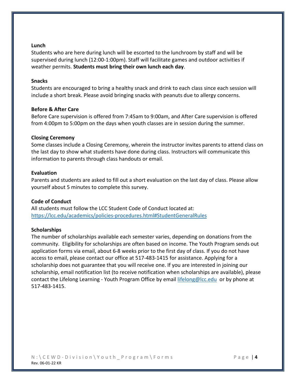#### **Lunch**

Students who are here during lunch will be escorted to the lunchroom by staff and will be supervised during lunch (12:00-1:00pm). Staff will facilitate games and outdoor activities if weather permits. **Students must bring their own lunch each day**.

#### **Snacks**

Students are encouraged to bring a healthy snack and drink to each class since each session will include a short break. Please avoid bringing snacks with peanuts due to allergy concerns.

#### **Before & After Care**

Before Care supervision is offered from 7:45am to 9:00am, and After Care supervision is offered from 4:00pm to 5:00pm on the days when youth classes are in session during the summer.

#### **Closing Ceremony**

Some classes include a Closing Ceremony, wherein the instructor invites parents to attend class on the last day to show what students have done during class. Instructors will communicate this information to parents through class handouts or email.

#### **Evaluation**

Parents and students are asked to fill out a short evaluation on the last day of class. Please allow yourself about 5 minutes to complete this survey.

#### **Code of Conduct**

All students must follow the LCC Student Code of Conduct located at: <https://lcc.edu/academics/policies-procedures.html#StudentGeneralRules>

#### **Scholarships**

The number of scholarships available each semester varies, depending on donations from the community. Eligibility for scholarships are often based on income. The Youth Program sends out application forms via email, about 6-8 weeks prior to the first day of class. If you do not have access to email, please contact our office at 517-483-1415 for assistance. Applying for a scholarship does not guarantee that you will receive one. If you are interested in joining our scholarship, email notification list (to receive notification when scholarships are available), please contact the Lifelong Learning - Youth Program Office by email [lifelong@lcc.edu](mailto:lifelong@lcc.edu) or by phone at 517-483-1415.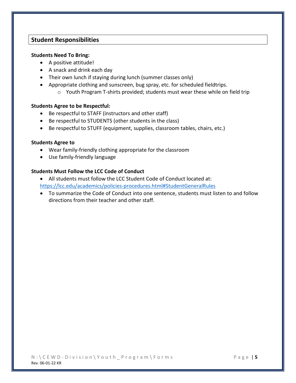#### **Student Responsibilities**

#### **Students Need To Bring:**

- A positive attitude!
- A snack and drink each day
- Their own lunch if staying during lunch (summer classes only)
- Appropriate clothing and sunscreen, bug spray, etc. for scheduled fieldtrips.
	- o Youth Program T-shirts provided; students must wear these while on field trip

#### **Students Agree to be Respectful:**

- Be respectful to STAFF (instructors and other staff)
- Be respectful to STUDENTS (other students in the class)
- Be respectful to STUFF (equipment, supplies, classroom tables, chairs, etc.)

#### **Students Agree to**

- Wear family-friendly clothing appropriate for the classroom
- Use family-friendly language

#### **Students Must Follow the LCC Code of Conduct**

- All students must follow the LCC Student Code of Conduct located at: <https://lcc.edu/academics/policies-procedures.html#StudentGeneralRules>
- To summarize the Code of Conduct into one sentence, students must listen to and follow directions from their teacher and other staff.